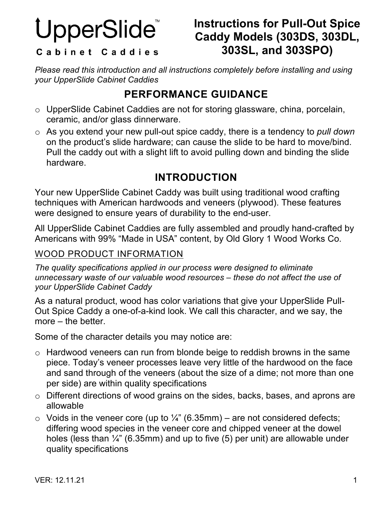# UpperSlide

## **Instructions for Pull-Out Spice Caddy Models (303DS, 303DL, 303SL, and 303SPO)**

#### Cabinet Caddies

*Please read this introduction and all instructions completely before installing and using your UpperSlide Cabinet Caddies*

## **PERFORMANCE GUIDANCE**

- o UpperSlide Cabinet Caddies are not for storing glassware, china, porcelain, ceramic, and/or glass dinnerware.
- o As you extend your new pull-out spice caddy, there is a tendency to *pull down*  on the product's slide hardware; can cause the slide to be hard to move/bind. Pull the caddy out with a slight lift to avoid pulling down and binding the slide hardware.

### **INTRODUCTION**

Your new UpperSlide Cabinet Caddy was built using traditional wood crafting techniques with American hardwoods and veneers (plywood). These features were designed to ensure years of durability to the end-user.

All UpperSlide Cabinet Caddies are fully assembled and proudly hand-crafted by Americans with 99% "Made in USA" content, by Old Glory 1 Wood Works Co.

#### WOOD PRODUCT INFORMATION

*The quality specifications applied in our process were designed to eliminate unnecessary waste of our valuable wood resources – these do not affect the use of your UpperSlide Cabinet Caddy*

As a natural product, wood has color variations that give your UpperSlide Pull-Out Spice Caddy a one-of-a-kind look. We call this character, and we say, the more – the better.

Some of the character details you may notice are:

- o Hardwood veneers can run from blonde beige to reddish browns in the same piece. Today's veneer processes leave very little of the hardwood on the face and sand through of the veneers (about the size of a dime; not more than one per side) are within quality specifications
- o Different directions of wood grains on the sides, backs, bases, and aprons are allowable
- $\circ$  Voids in the veneer core (up to ¼" (6.35mm) are not considered defects; differing wood species in the veneer core and chipped veneer at the dowel holes (less than ¼" (6.35mm) and up to five (5) per unit) are allowable under quality specifications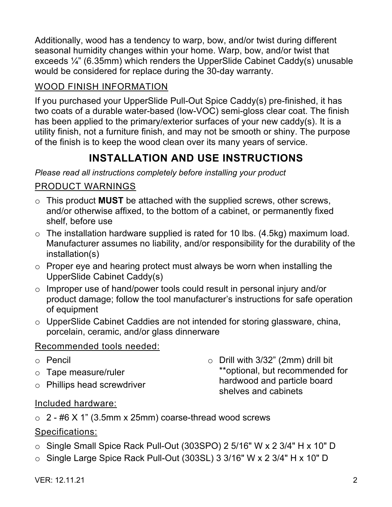Additionally, wood has a tendency to warp, bow, and/or twist during different seasonal humidity changes within your home. Warp, bow, and/or twist that exceeds ¼" (6.35mm) which renders the UpperSlide Cabinet Caddy(s) unusable would be considered for replace during the 30-day warranty.

#### WOOD FINISH INFORMATION

If you purchased your UpperSlide Pull-Out Spice Caddy(s) pre-finished, it has two coats of a durable water-based (low-VOC) semi-gloss clear coat. The finish has been applied to the primary/exterior surfaces of your new caddy(s). It is a utility finish, not a furniture finish, and may not be smooth or shiny. The purpose of the finish is to keep the wood clean over its many years of service.

## **INSTALLATION AND USE INSTRUCTIONS**

*Please read all instructions completely before installing your product*

#### PRODUCT WARNINGS

- o This product **MUST** be attached with the supplied screws, other screws, and/or otherwise affixed, to the bottom of a cabinet, or permanently fixed shelf, before use
- $\circ$  The installation hardware supplied is rated for 10 lbs. (4.5kg) maximum load. Manufacturer assumes no liability, and/or responsibility for the durability of the installation(s)
- o Proper eye and hearing protect must always be worn when installing the UpperSlide Cabinet Caddy(s)
- o Improper use of hand/power tools could result in personal injury and/or product damage; follow the tool manufacturer's instructions for safe operation of equipment
- o UpperSlide Cabinet Caddies are not intended for storing glassware, china, porcelain, ceramic, and/or glass dinnerware

#### Recommended tools needed:

- o Pencil
- o Tape measure/ruler
- o Phillips head screwdriver

 $\circ$  Drill with 3/32" (2mm) drill bit \*\*optional, but recommended for hardwood and particle board shelves and cabinets

#### Included hardware:

 $\circ$  2 - #6 X 1" (3.5mm x 25mm) coarse-thread wood screws

#### Specifications:

- o Single Small Spice Rack Pull-Out (303SPO) 2 5/16" W x 2 3/4" H x 10" D
- o Single Large Spice Rack Pull-Out (303SL) 3 3/16" W x 2 3/4" H x 10" D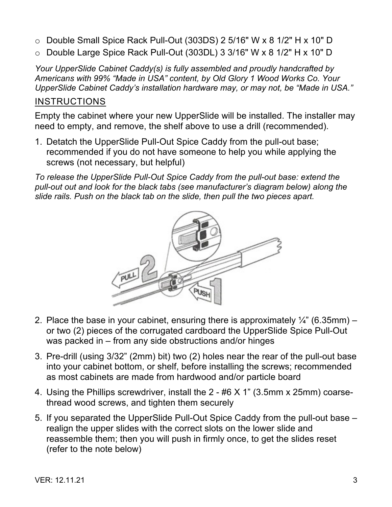- o Double Small Spice Rack Pull-Out (303DS) 2 5/16" W x 8 1/2" H x 10" D
- o Double Large Spice Rack Pull-Out (303DL) 3 3/16" W x 8 1/2" H x 10" D

*Your UpperSlide Cabinet Caddy(s) is fully assembled and proudly handcrafted by Americans with 99% "Made in USA" content, by Old Glory 1 Wood Works Co. Your UpperSlide Cabinet Caddy's installation hardware may, or may not, be "Made in USA."*

#### **INSTRUCTIONS**

Empty the cabinet where your new UpperSlide will be installed. The installer may need to empty, and remove, the shelf above to use a drill (recommended).

1. Detatch the UpperSlide Pull-Out Spice Caddy from the pull-out base; recommended if you do not have someone to help you while applying the screws (not necessary, but helpful)

*To release the UpperSlide Pull-Out Spice Caddy from the pull-out base: extend the pull-out out and look for the black tabs (see manufacturer's diagram below) along the slide rails. Push on the black tab on the slide, then pull the two pieces apart.*



- 2. Place the base in your cabinet, ensuring there is approximately  $\frac{1}{4}$ " (6.35mm) or two (2) pieces of the corrugated cardboard the UpperSlide Spice Pull-Out was packed in – from any side obstructions and/or hinges
- 3. Pre-drill (using 3/32" (2mm) bit) two (2) holes near the rear of the pull-out base into your cabinet bottom, or shelf, before installing the screws; recommended as most cabinets are made from hardwood and/or particle board
- 4. Using the Phillips screwdriver, install the 2 #6 X 1" (3.5mm x 25mm) coarsethread wood screws, and tighten them securely
- 5. If you separated the UpperSlide Pull-Out Spice Caddy from the pull-out base realign the upper slides with the correct slots on the lower slide and reassemble them; then you will push in firmly once, to get the slides reset (refer to the note below)